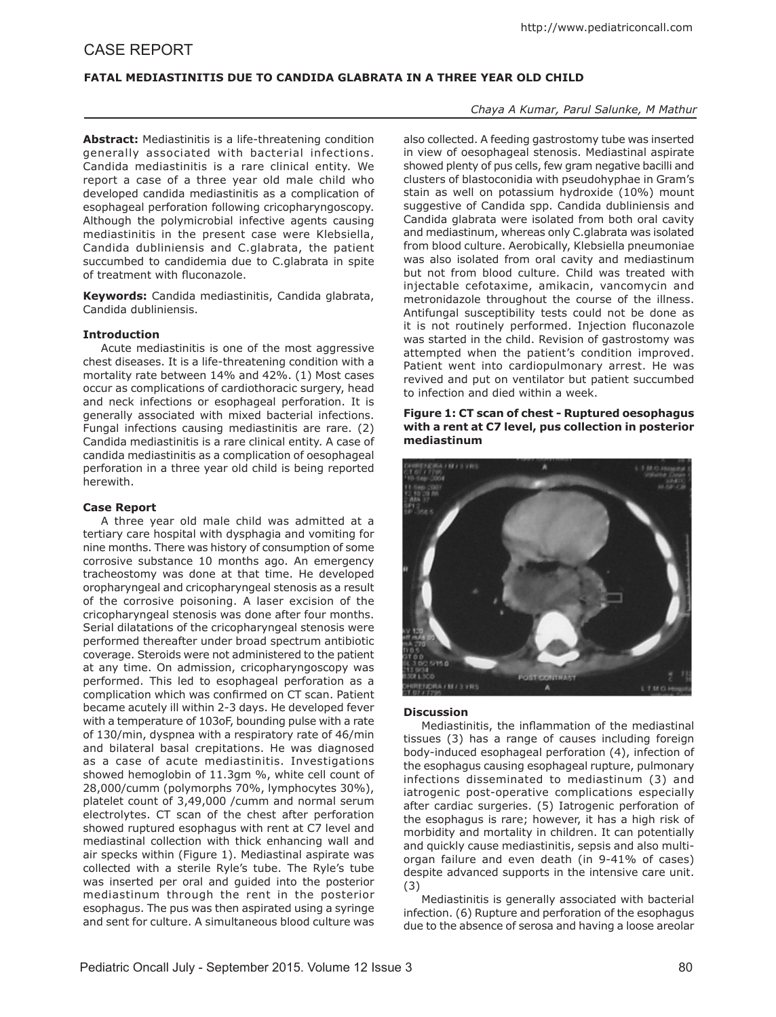# CASE REPORT

### **Fatal Mediastinitis Due to Candida Glabrata in a Three Year Old Child**

## *Chaya A Kumar, Parul Salunke, M Mathur*

**Abstract:** Mediastinitis is a life-threatening condition generally associated with bacterial infections. Candida mediastinitis is a rare clinical entity. We report a case of a three year old male child who developed candida mediastinitis as a complication of esophageal perforation following cricopharyngoscopy. Although the polymicrobial infective agents causing mediastinitis in the present case were Klebsiella, Candida dubliniensis and C.glabrata, the patient succumbed to candidemia due to C.glabrata in spite of treatment with fluconazole.

**Keywords:** Candida mediastinitis, Candida glabrata, Candida dubliniensis.

#### **Introduction**

Acute mediastinitis is one of the most aggressive chest diseases. It is a life-threatening condition with a mortality rate between 14% and 42%. (1) Most cases occur as complications of cardiothoracic surgery, head and neck infections or esophageal perforation. It is generally associated with mixed bacterial infections. Fungal infections causing mediastinitis are rare. (2) Candida mediastinitis is a rare clinical entity. A case of candida mediastinitis as a complication of oesophageal perforation in a three year old child is being reported herewith.

#### **Case Report**

A three year old male child was admitted at a tertiary care hospital with dysphagia and vomiting for nine months. There was history of consumption of some corrosive substance 10 months ago. An emergency tracheostomy was done at that time. He developed oropharyngeal and cricopharyngeal stenosis as a result of the corrosive poisoning. A laser excision of the cricopharyngeal stenosis was done after four months. Serial dilatations of the cricopharyngeal stenosis were performed thereafter under broad spectrum antibiotic coverage. Steroids were not administered to the patient at any time. On admission, cricopharyngoscopy was performed. This led to esophageal perforation as a complication which was confirmed on CT scan. Patient became acutely ill within 2-3 days. He developed fever with a temperature of 103oF, bounding pulse with a rate of 130/min, dyspnea with a respiratory rate of 46/min and bilateral basal crepitations. He was diagnosed as a case of acute mediastinitis. Investigations showed hemoglobin of 11.3gm %, white cell count of 28,000/cumm (polymorphs 70%, lymphocytes 30%), platelet count of 3,49,000 /cumm and normal serum electrolytes. CT scan of the chest after perforation showed ruptured esophagus with rent at C7 level and mediastinal collection with thick enhancing wall and air specks within (Figure 1). Mediastinal aspirate was collected with a sterile Ryle's tube. The Ryle's tube was inserted per oral and guided into the posterior mediastinum through the rent in the posterior esophagus. The pus was then aspirated using a syringe and sent for culture. A simultaneous blood culture was

also collected. A feeding gastrostomy tube was inserted in view of oesophageal stenosis. Mediastinal aspirate showed plenty of pus cells, few gram negative bacilli and clusters of blastoconidia with pseudohyphae in Gram's stain as well on potassium hydroxide (10%) mount suggestive of Candida spp. Candida dubliniensis and Candida glabrata were isolated from both oral cavity and mediastinum, whereas only C.glabrata was isolated from blood culture. Aerobically, Klebsiella pneumoniae was also isolated from oral cavity and mediastinum but not from blood culture. Child was treated with injectable cefotaxime, amikacin, vancomycin and metronidazole throughout the course of the illness. Antifungal susceptibility tests could not be done as it is not routinely performed. Injection fluconazole was started in the child. Revision of gastrostomy was attempted when the patient's condition improved. Patient went into cardiopulmonary arrest. He was revived and put on ventilator but patient succumbed to infection and died within a week.

#### **Figure 1: CT scan of chest - Ruptured oesophagus with a rent at C7 level, pus collection in posterior mediastinum**



#### **Discussion**

Mediastinitis, the inflammation of the mediastinal tissues (3) has a range of causes including foreign body-induced esophageal perforation (4), infection of the esophagus causing esophageal rupture, pulmonary infections disseminated to mediastinum (3) and iatrogenic post-operative complications especially after cardiac surgeries. (5) Iatrogenic perforation of the esophagus is rare; however, it has a high risk of morbidity and mortality in children. It can potentially and quickly cause mediastinitis, sepsis and also multiorgan failure and even death (in 9-41% of cases) despite advanced supports in the intensive care unit. (3)

Mediastinitis is generally associated with bacterial infection. (6) Rupture and perforation of the esophagus due to the absence of serosa and having a loose areolar